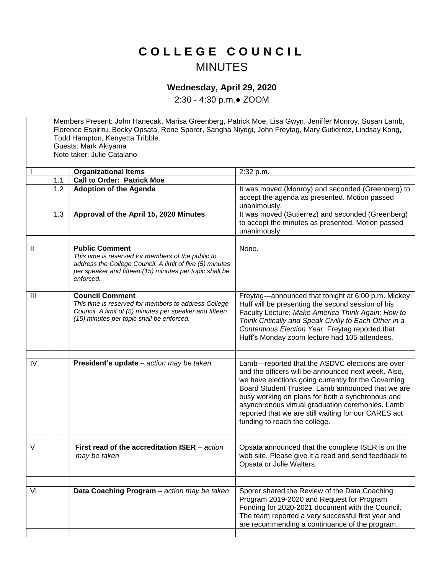## **C O L L E G E C O U N C I L** MINUTES

## **Wednesday, April 29, 2020**

2:30 - 4:30 p.m.● ZOOM

Members Present: John Hanecak, Marisa Greenberg, Patrick Moe, Lisa Gwyn, Jeniffer Monroy, Susan Lamb, Florence Espiritu, Becky Opsata, Rene Sporer, Sangha Niyogi, John Freytag, Mary Gutierrez, Lindsay Kong, Todd Hampton, Kenyetta Tribble. Guests: Mark Akiyama Note taker: Julie Catalano **Organizational Items** 2:32 p.m. 1.1 **Call to Order: Patrick Moe** 1.2 **Adoption of the Agenda It was moved (Monroy) and seconded (Greenberg) to** accept the agenda as presented. Motion passed unanimously. 1.3 **Approval of the April 15, 2020 Minutes** It was moved (Gutierrez) and seconded (Greenberg) to accept the minutes as presented. Motion passed unanimously. II **Public Comment** *This time is reserved for members of the public to address the College Council. A limit of five (5) minutes per speaker and fifteen (15) minutes per topic shall be enforced.*  None. III **Council Comment** *This time is reserved for members to address College Council. A limit of (5) minutes per speaker and fifteen (15) minutes per topic shall be enforced.* Freytag—announced that tonight at 6:00 p.m. Mickey Huff will be presenting the second session of his Faculty Lecture: *Make America Think Again: How to Think Critically and Speak Civilly to Each Other in a Contentious Election Year*. Freytag reported that Huff's Monday zoom lecture had 105 attendees. IV **President's update** *– action may be taken* Lamb—reported that the ASDVC elections are over and the officers will be announced next week. Also, we have elections going currently for the Governing Board Student Trustee. Lamb announced that we are busy working on plans for both a synchronous and asynchronous virtual graduation ceremonies. Lamb reported that we are still waiting for our CARES act funding to reach the college. V **First read of the accreditation ISER** – *action may be taken* Opsata announced that the complete ISER is on the web site. Please give it a read and send feedback to Opsata or Julie Walters. VI **Data Coaching Program** – *action may be taken* Sporer shared the Review of the Data Coaching Program 2019-2020 and Request for Program Funding for 2020-2021 document with the Council. The team reported a very successful first year and are recommending a continuance of the program.